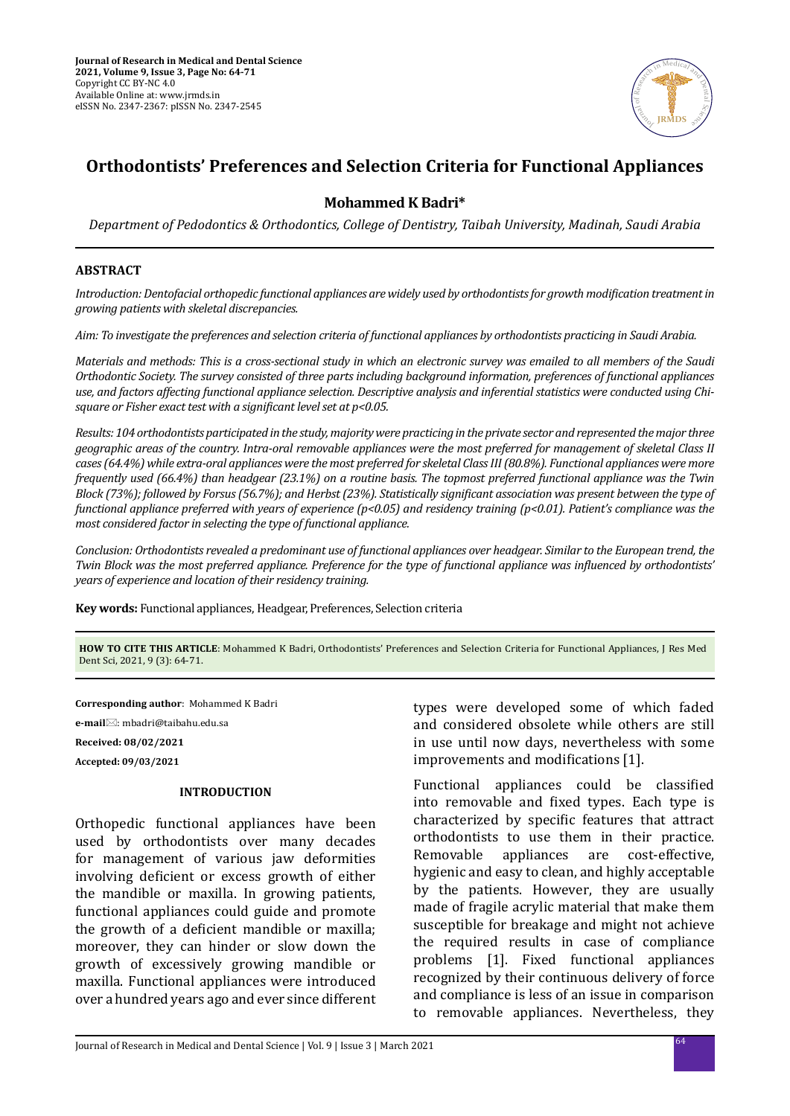

# **Orthodontists' Preferences and Selection Criteria for Functional Appliances**

# **Mohammed K Badri\***

*Department of Pedodontics & Orthodontics, College of Dentistry, Taibah University, Madinah, Saudi Arabia*

#### **ABSTRACT**

*Introduction: Dentofacial orthopedic functional appliances are widely used by orthodontists for growth modification treatment in growing patients with skeletal discrepancies.*

*Aim: To investigate the preferences and selection criteria of functional appliances by orthodontists practicing in Saudi Arabia.*

*Materials and methods: This is a cross-sectional study in which an electronic survey was emailed to all members of the Saudi Orthodontic Society. The survey consisted of three parts including background information, preferences of functional appliances use, and factors affecting functional appliance selection. Descriptive analysis and inferential statistics were conducted using Chisquare or Fisher exact test with a significant level set at p<0.05.*

*Results: 104 orthodontists participated in the study, majority were practicing in the private sector and represented the major three geographic areas of the country. Intra-oral removable appliances were the most preferred for management of skeletal Class II cases (64.4%) while extra-oral appliances were the most preferred for skeletal Class III (80.8%). Functional appliances were more frequently used (66.4%) than headgear (23.1%) on a routine basis. The topmost preferred functional appliance was the Twin Block (73%); followed by Forsus (56.7%); and Herbst (23%). Statistically significant association was present between the type of functional appliance preferred with years of experience (p<0.05) and residency training (p<0.01). Patient's compliance was the most considered factor in selecting the type of functional appliance.* 

*Conclusion: Orthodontists revealed a predominant use of functional appliances over headgear. Similar to the European trend, the Twin Block was the most preferred appliance. Preference for the type of functional appliance was influenced by orthodontists' years of experience and location of their residency training.*

**Key words:** Functional appliances, Headgear, Preferences, Selection criteria

**HOW TO CITE THIS ARTICLE**: Mohammed K Badri, Orthodontists' Preferences and Selection Criteria for Functional Appliances, J Res Med Dent Sci, 2021, 9 (3): 64-71.

**Corresponding author**: Mohammed K Badri **e-mail**: mbadri@taibahu.edu.sa **Received: 08/02/2021 Accepted: 09/03/2021**

#### **INTRODUCTION**

Orthopedic functional appliances have been used by orthodontists over many decades for management of various jaw deformities involving deficient or excess growth of either the mandible or maxilla. In growing patients, functional appliances could guide and promote the growth of a deficient mandible or maxilla; moreover, they can hinder or slow down the growth of excessively growing mandible or maxilla. Functional appliances were introduced over a hundred years ago and ever since different types were developed some of which faded and considered obsolete while others are still in use until now days, nevertheless with some improvements and modifications [1].

Functional appliances could be classified into removable and fixed types. Each type is characterized by specific features that attract orthodontists to use them in their practice.<br>Removable appliances are cost-effective. Removable appliances are cost-effective, hygienic and easy to clean, and highly acceptable by the patients. However, they are usually made of fragile acrylic material that make them susceptible for breakage and might not achieve the required results in case of compliance problems [1]. Fixed functional appliances recognized by their continuous delivery of force and compliance is less of an issue in comparison to removable appliances. Nevertheless, they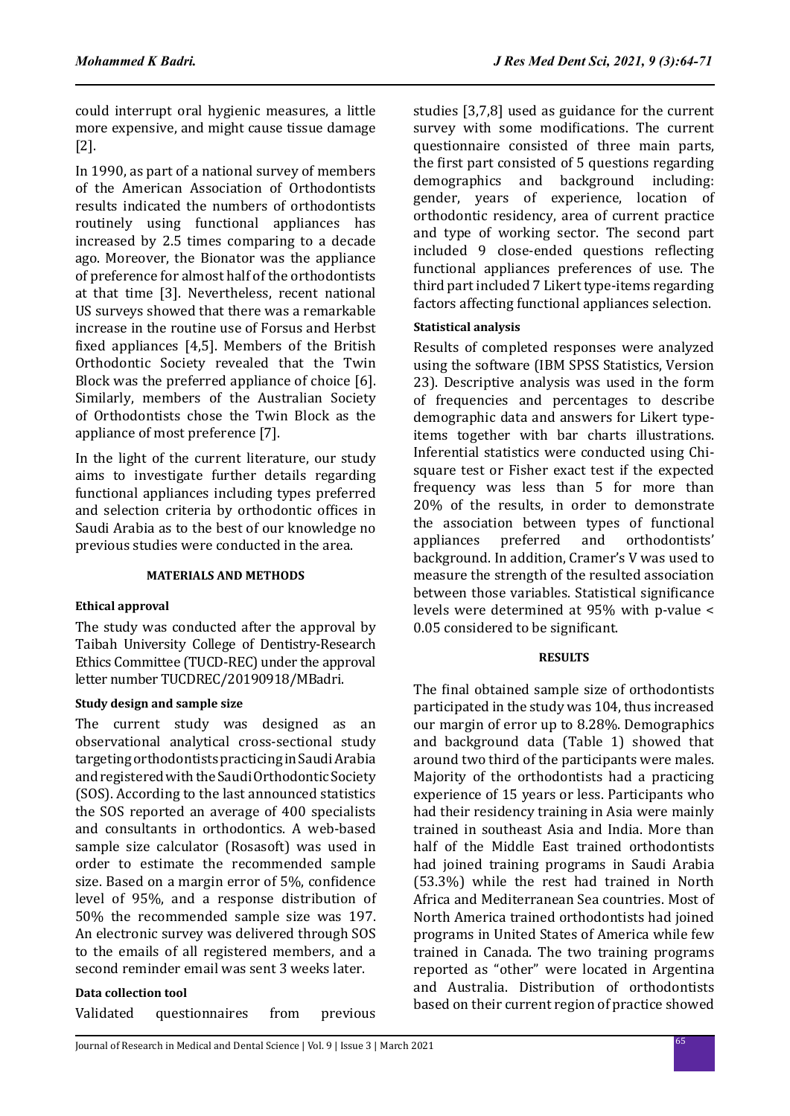could interrupt oral hygienic measures, a little more expensive, and might cause tissue damage [2].

In 1990, as part of a national survey of members of the American Association of Orthodontists results indicated the numbers of orthodontists routinely using functional appliances has increased by 2.5 times comparing to a decade ago. Moreover, the Bionator was the appliance of preference for almost half of the orthodontists at that time [3]. Nevertheless, recent national US surveys showed that there was a remarkable increase in the routine use of Forsus and Herbst fixed appliances [4,5]. Members of the British Orthodontic Society revealed that the Twin Block was the preferred appliance of choice [6]. Similarly, members of the Australian Society of Orthodontists chose the Twin Block as the appliance of most preference [7].

In the light of the current literature, our study aims to investigate further details regarding functional appliances including types preferred and selection criteria by orthodontic offices in Saudi Arabia as to the best of our knowledge no previous studies were conducted in the area.

### **MATERIALS AND METHODS**

# **Ethical approval**

The study was conducted after the approval by Taibah University College of Dentistry-Research Ethics Committee (TUCD-REC) under the approval letter number TUCDREC/20190918/MBadri.

### **Study design and sample size**

The current study was designed as an observational analytical cross-sectional study targeting orthodontists practicing in Saudi Arabia and registered with the Saudi Orthodontic Society (SOS). According to the last announced statistics the SOS reported an average of 400 specialists and consultants in orthodontics. A web-based sample size calculator (Rosasoft) was used in order to estimate the recommended sample size. Based on a margin error of 5%, confidence level of 95%, and a response distribution of 50% the recommended sample size was 197. An electronic survey was delivered through SOS to the emails of all registered members, and a second reminder email was sent 3 weeks later.

# **Data collection tool**

Validated questionnaires from previous

studies [3,7,8] used as guidance for the current survey with some modifications. The current questionnaire consisted of three main parts, the first part consisted of 5 questions regarding demographics and background including: gender, years of experience, location of orthodontic residency, area of current practice and type of working sector. The second part included 9 close-ended questions reflecting functional appliances preferences of use. The third part included 7 Likert type-items regarding factors affecting functional appliances selection.

# **Statistical analysis**

Results of completed responses were analyzed using the software (IBM SPSS Statistics, Version 23). Descriptive analysis was used in the form of frequencies and percentages to describe demographic data and answers for Likert typeitems together with bar charts illustrations. Inferential statistics were conducted using Chisquare test or Fisher exact test if the expected frequency was less than 5 for more than 20% of the results, in order to demonstrate the association between types of functional<br>appliances preferred and orthodontists' orthodontists' background. In addition, Cramer's V was used to measure the strength of the resulted association between those variables. Statistical significance levels were determined at 95% with p-value < 0.05 considered to be significant.

### **RESULTS**

The final obtained sample size of orthodontists participated in the study was 104, thus increased our margin of error up to 8.28%. Demographics and background data (Table 1) showed that around two third of the participants were males. Majority of the orthodontists had a practicing experience of 15 years or less. Participants who had their residency training in Asia were mainly trained in southeast Asia and India. More than half of the Middle East trained orthodontists had joined training programs in Saudi Arabia (53.3%) while the rest had trained in North Africa and Mediterranean Sea countries. Most of North America trained orthodontists had joined programs in United States of America while few trained in Canada. The two training programs reported as "other" were located in Argentina and Australia. Distribution of orthodontists based on their current region of practice showed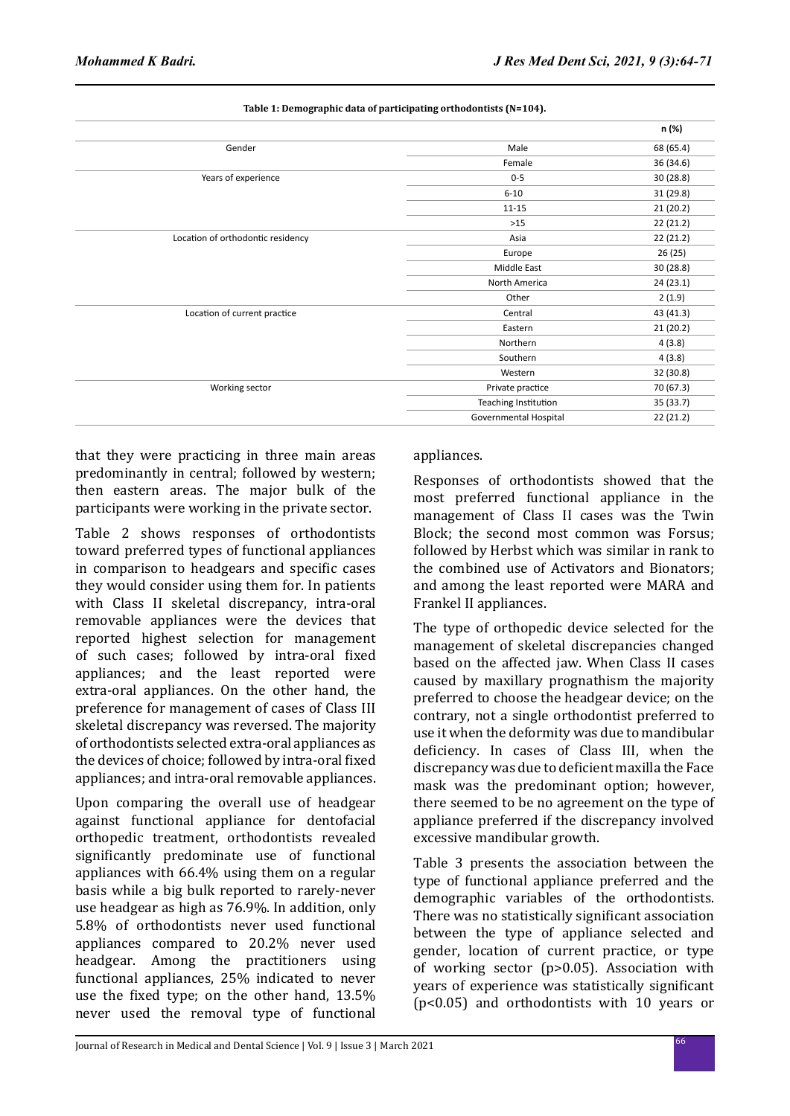|                                   |                       | n (%)     |
|-----------------------------------|-----------------------|-----------|
| Gender                            | Male                  | 68 (65.4) |
|                                   | Female                | 36 (34.6) |
| Years of experience               | $0 - 5$               | 30(28.8)  |
|                                   | $6 - 10$              | 31 (29.8) |
|                                   | $11 - 15$             | 21(20.2)  |
|                                   | $>15$                 | 22(21.2)  |
| Location of orthodontic residency | Asia                  | 22(21.2)  |
|                                   | Europe                | 26 (25)   |
|                                   | Middle East           | 30(28.8)  |
|                                   | North America         | 24(23.1)  |
|                                   | Other                 | 2(1.9)    |
| Location of current practice      | Central               | 43 (41.3) |
|                                   | Eastern               | 21(20.2)  |
|                                   | Northern              | 4(3.8)    |
|                                   | Southern              | 4(3.8)    |
|                                   | Western               | 32 (30.8) |
| Working sector                    | Private practice      | 70 (67.3) |
|                                   | Teaching Institution  | 35 (33.7) |
|                                   | Governmental Hospital | 22(21.2)  |
|                                   |                       |           |

**Table 1: Demographic data of participating orthodontists (N=104).**

that they were practicing in three main areas predominantly in central; followed by western; then eastern areas. The major bulk of the participants were working in the private sector.

Table 2 shows responses of orthodontists toward preferred types of functional appliances in comparison to headgears and specific cases they would consider using them for. In patients with Class II skeletal discrepancy, intra-oral removable appliances were the devices that reported highest selection for management of such cases; followed by intra-oral fixed appliances; and the least reported were extra-oral appliances. On the other hand, the preference for management of cases of Class III skeletal discrepancy was reversed. The majority of orthodontists selected extra-oral appliances as the devices of choice; followed by intra-oral fixed appliances; and intra-oral removable appliances.

Upon comparing the overall use of headgear against functional appliance for dentofacial orthopedic treatment, orthodontists revealed significantly predominate use of functional appliances with 66.4% using them on a regular basis while a big bulk reported to rarely-never use headgear as high as 76.9%. In addition, only 5.8% of orthodontists never used functional appliances compared to 20.2% never used headgear. Among the practitioners using functional appliances, 25% indicated to never use the fixed type; on the other hand, 13.5% never used the removal type of functional

### appliances.

Responses of orthodontists showed that the most preferred functional appliance in the management of Class II cases was the Twin Block; the second most common was Forsus; followed by Herbst which was similar in rank to the combined use of Activators and Bionators; and among the least reported were MARA and Frankel II appliances.

The type of orthopedic device selected for the management of skeletal discrepancies changed based on the affected jaw. When Class II cases caused by maxillary prognathism the majority preferred to choose the headgear device; on the contrary, not a single orthodontist preferred to use it when the deformity was due to mandibular deficiency. In cases of Class III, when the discrepancy was due to deficient maxilla the Face mask was the predominant option; however, there seemed to be no agreement on the type of appliance preferred if the discrepancy involved excessive mandibular growth.

Table 3 presents the association between the type of functional appliance preferred and the demographic variables of the orthodontists. There was no statistically significant association between the type of appliance selected and gender, location of current practice, or type of working sector (p>0.05). Association with years of experience was statistically significant (p<0.05) and orthodontists with 10 years or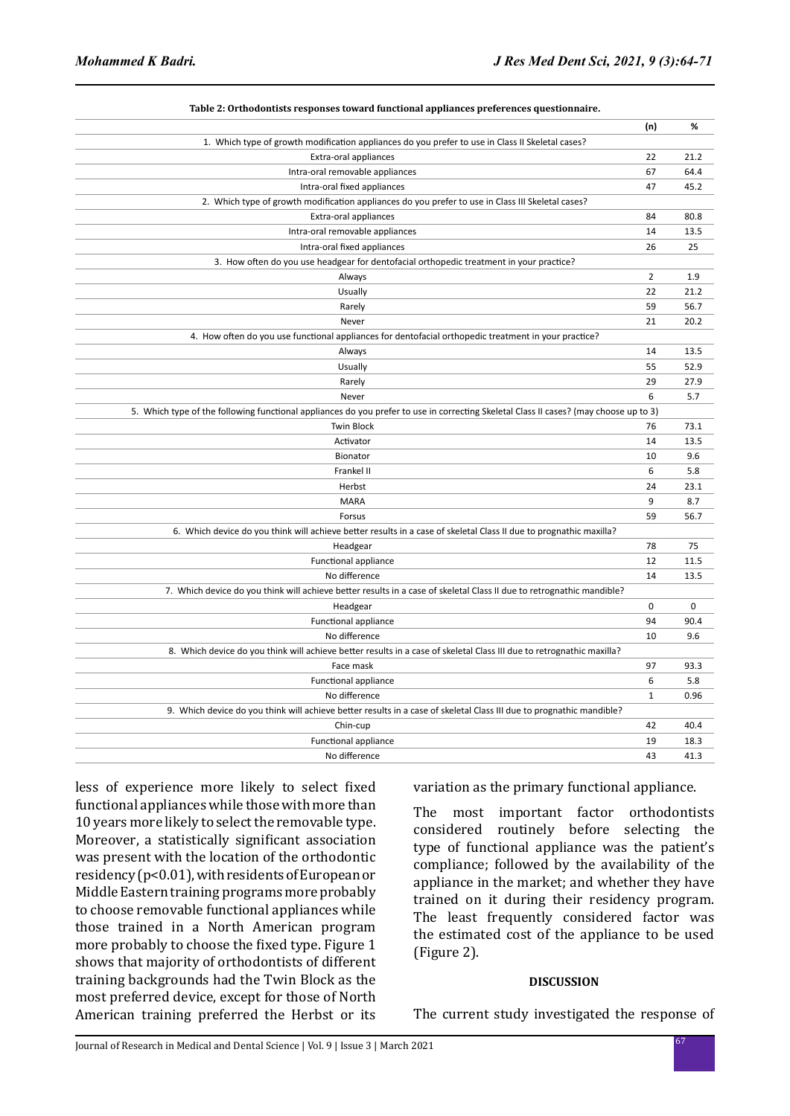|                                                                                                                                       | (n)            | %    |
|---------------------------------------------------------------------------------------------------------------------------------------|----------------|------|
| 1. Which type of growth modification appliances do you prefer to use in Class II Skeletal cases?                                      |                |      |
| Extra-oral appliances                                                                                                                 | 22             | 21.2 |
| Intra-oral removable appliances                                                                                                       | 67             | 64.4 |
| Intra-oral fixed appliances                                                                                                           | 47             | 45.2 |
| 2. Which type of growth modification appliances do you prefer to use in Class III Skeletal cases?                                     |                |      |
| Extra-oral appliances                                                                                                                 | 84             | 80.8 |
| Intra-oral removable appliances                                                                                                       | 14             | 13.5 |
| Intra-oral fixed appliances                                                                                                           | 26             | 25   |
| 3. How often do you use headgear for dentofacial orthopedic treatment in your practice?                                               |                |      |
| Always                                                                                                                                | $\overline{2}$ | 1.9  |
| Usually                                                                                                                               | 22             | 21.2 |
| Rarely                                                                                                                                | 59             | 56.7 |
| Never                                                                                                                                 | 21             | 20.2 |
| 4. How often do you use functional appliances for dentofacial orthopedic treatment in your practice?                                  |                |      |
| Always                                                                                                                                | 14             | 13.5 |
| Usually                                                                                                                               | 55             | 52.9 |
| Rarely                                                                                                                                | 29             | 27.9 |
| Never                                                                                                                                 | 6              | 5.7  |
| 5. Which type of the following functional appliances do you prefer to use in correcting Skeletal Class II cases? (may choose up to 3) |                |      |
| <b>Twin Block</b>                                                                                                                     | 76             | 73.1 |
| Activator                                                                                                                             | 14             | 13.5 |
| Bionator                                                                                                                              | 10             | 9.6  |
| Frankel II                                                                                                                            | 6              | 5.8  |
| Herbst                                                                                                                                | 24             | 23.1 |
| <b>MARA</b>                                                                                                                           | 9              | 8.7  |
| Forsus                                                                                                                                | 59             | 56.7 |
| 6. Which device do you think will achieve better results in a case of skeletal Class II due to prognathic maxilla?                    |                |      |
| Headgear                                                                                                                              | 78             | 75   |
| Functional appliance                                                                                                                  | 12             | 11.5 |
| No difference                                                                                                                         | 14             | 13.5 |
| 7. Which device do you think will achieve better results in a case of skeletal Class II due to retrognathic mandible?                 |                |      |
| Headgear                                                                                                                              | $\mathbf 0$    | 0    |
| Functional appliance                                                                                                                  | 94             | 90.4 |
| No difference                                                                                                                         | 10             | 9.6  |
| 8. Which device do you think will achieve better results in a case of skeletal Class III due to retrognathic maxilla?                 |                |      |
| Face mask                                                                                                                             | 97             | 93.3 |
| Functional appliance                                                                                                                  | 6              | 5.8  |
| No difference                                                                                                                         | $\mathbf{1}$   | 0.96 |
| 9. Which device do you think will achieve better results in a case of skeletal Class III due to prognathic mandible?                  |                |      |
| Chin-cup                                                                                                                              | 42             | 40.4 |
| Functional appliance                                                                                                                  | 19             | 18.3 |
| No difference                                                                                                                         | 43             | 41.3 |

**Table 2: Orthodontists responses toward functional appliances preferences questionnaire.**

less of experience more likely to select fixed functional appliances while those with more than 10 years more likely to select the removable type. Moreover, a statistically significant association was present with the location of the orthodontic residency (p<0.01), with residents of European or Middle Eastern training programs more probably to choose removable functional appliances while those trained in a North American program more probably to choose the fixed type. Figure 1 shows that majority of orthodontists of different training backgrounds had the Twin Block as the most preferred device, except for those of North American training preferred the Herbst or its

variation as the primary functional appliance.

The most important factor orthodontists considered routinely before selecting the type of functional appliance was the patient's compliance; followed by the availability of the appliance in the market; and whether they have trained on it during their residency program. The least frequently considered factor was the estimated cost of the appliance to be used (Figure 2).

### **DISCUSSION**

The current study investigated the response of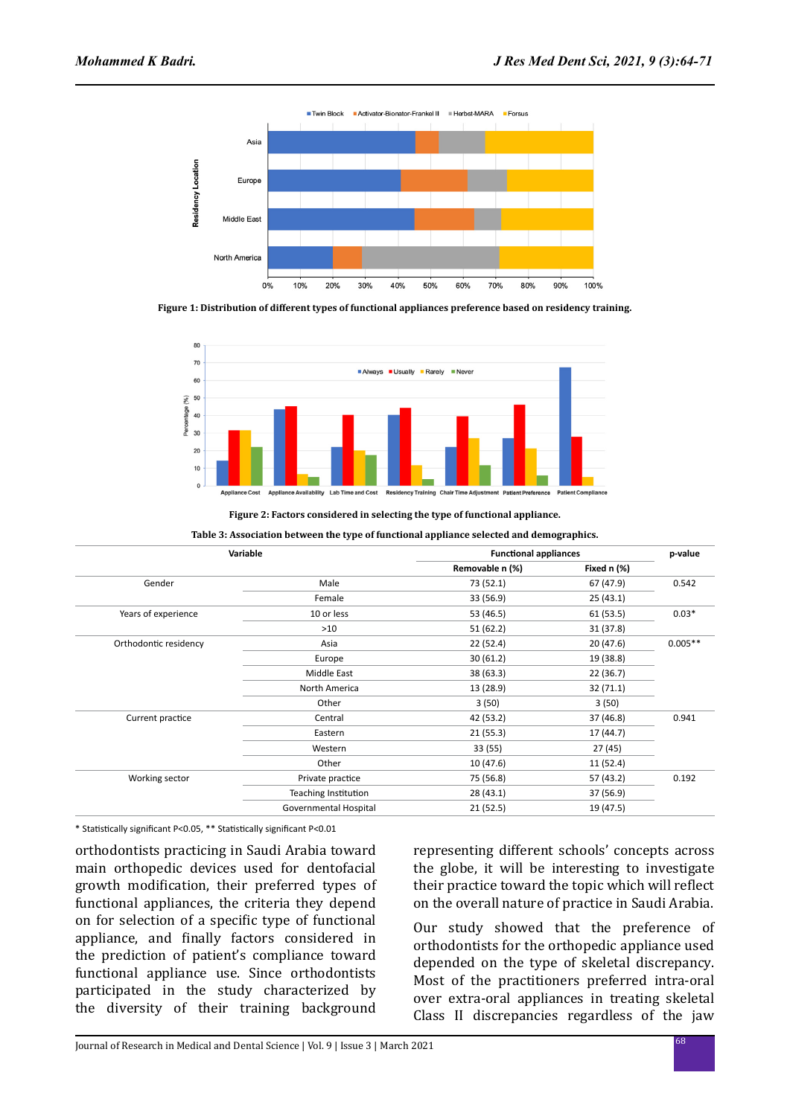

**Figure 1: Distribution of different types of functional appliances preference based on residency training.**



**Figure 2: Factors considered in selecting the type of functional appliance.**

| Variable              |                       |                 | <b>Functional appliances</b> |           |
|-----------------------|-----------------------|-----------------|------------------------------|-----------|
|                       |                       | Removable n (%) | Fixed n (%)                  |           |
| Gender                | Male                  | 73 (52.1)       | 67 (47.9)                    | 0.542     |
|                       | Female                | 33 (56.9)       | 25(43.1)                     |           |
| Years of experience   | 10 or less            | 53 (46.5)       | 61(53.5)                     | $0.03*$   |
|                       | >10                   | 51(62.2)        | 31 (37.8)                    |           |
| Orthodontic residency | Asia                  | 22 (52.4)       | 20(47.6)                     | $0.005**$ |
|                       | Europe                | 30(61.2)        | 19 (38.8)                    |           |
|                       | Middle East           | 38 (63.3)       | 22 (36.7)                    |           |
|                       | North America         | 13 (28.9)       | 32(71.1)                     |           |
|                       | Other                 | 3(50)           | 3(50)                        |           |
| Current practice      | Central               | 42 (53.2)       | 37 (46.8)                    | 0.941     |
|                       | Eastern               | 21(55.3)        | 17 (44.7)                    |           |
|                       | Western               | 33(55)          | 27(45)                       |           |
|                       | Other                 | 10(47.6)        | 11 (52.4)                    |           |
| Working sector        | Private practice      | 75 (56.8)       | 57 (43.2)                    | 0.192     |
|                       | Teaching Institution  | 28 (43.1)       | 37 (56.9)                    |           |
|                       | Governmental Hospital | 21 (52.5)       | 19 (47.5)                    |           |

\* Statistically significant P<0.05, \*\* Statistically significant P<0.01

orthodontists practicing in Saudi Arabia toward main orthopedic devices used for dentofacial growth modification, their preferred types of functional appliances, the criteria they depend on for selection of a specific type of functional appliance, and finally factors considered in the prediction of patient's compliance toward functional appliance use. Since orthodontists participated in the study characterized by the diversity of their training background representing different schools' concepts across the globe, it will be interesting to investigate their practice toward the topic which will reflect on the overall nature of practice in Saudi Arabia.

Our study showed that the preference of orthodontists for the orthopedic appliance used depended on the type of skeletal discrepancy. Most of the practitioners preferred intra-oral over extra-oral appliances in treating skeletal Class II discrepancies regardless of the jaw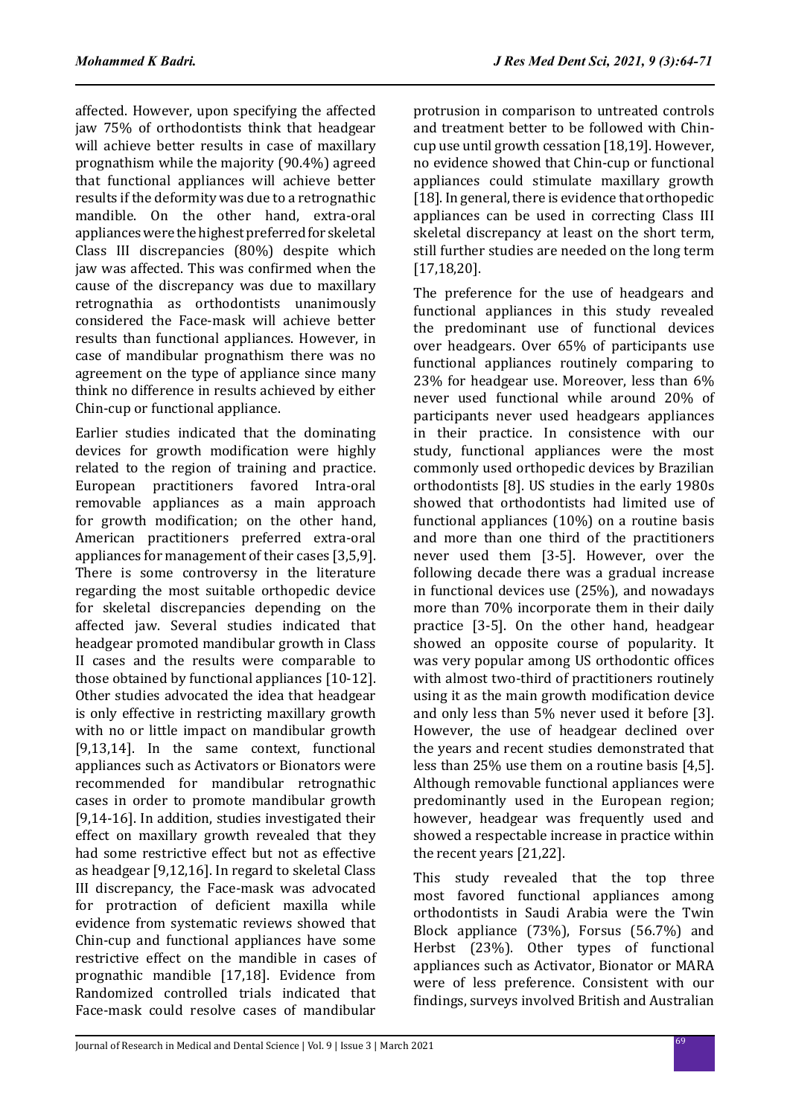affected. However, upon specifying the affected jaw 75% of orthodontists think that headgear will achieve better results in case of maxillary prognathism while the majority (90.4%) agreed that functional appliances will achieve better results if the deformity was due to a retrognathic mandible. On the other hand, extra-oral appliances were the highest preferred for skeletal Class III discrepancies (80%) despite which jaw was affected. This was confirmed when the cause of the discrepancy was due to maxillary retrognathia as orthodontists unanimously considered the Face-mask will achieve better results than functional appliances. However, in case of mandibular prognathism there was no agreement on the type of appliance since many think no difference in results achieved by either Chin-cup or functional appliance.

Earlier studies indicated that the dominating devices for growth modification were highly related to the region of training and practice. European practitioners favored Intra-oral removable appliances as a main approach for growth modification; on the other hand, American practitioners preferred extra-oral appliances for management of their cases [3,5,9]. There is some controversy in the literature regarding the most suitable orthopedic device for skeletal discrepancies depending on the affected jaw. Several studies indicated that headgear promoted mandibular growth in Class II cases and the results were comparable to those obtained by functional appliances [10-12]. Other studies advocated the idea that headgear is only effective in restricting maxillary growth with no or little impact on mandibular growth [9,13,14]. In the same context, functional appliances such as Activators or Bionators were recommended for mandibular retrognathic cases in order to promote mandibular growth [9,14-16]. In addition, studies investigated their effect on maxillary growth revealed that they had some restrictive effect but not as effective as headgear [9,12,16]. In regard to skeletal Class III discrepancy, the Face-mask was advocated for protraction of deficient maxilla while evidence from systematic reviews showed that Chin-cup and functional appliances have some restrictive effect on the mandible in cases of prognathic mandible [17,18]. Evidence from Randomized controlled trials indicated that Face-mask could resolve cases of mandibular protrusion in comparison to untreated controls and treatment better to be followed with Chincup use until growth cessation [18,19]. However, no evidence showed that Chin-cup or functional appliances could stimulate maxillary growth [18]. In general, there is evidence that orthopedic appliances can be used in correcting Class III skeletal discrepancy at least on the short term, still further studies are needed on the long term [17,18,20].

The preference for the use of headgears and functional appliances in this study revealed the predominant use of functional devices over headgears. Over 65% of participants use functional appliances routinely comparing to 23% for headgear use. Moreover, less than 6% never used functional while around 20% of participants never used headgears appliances in their practice. In consistence with our study, functional appliances were the most commonly used orthopedic devices by Brazilian orthodontists [8]. US studies in the early 1980s showed that orthodontists had limited use of functional appliances (10%) on a routine basis and more than one third of the practitioners never used them [3-5]. However, over the following decade there was a gradual increase in functional devices use (25%), and nowadays more than 70% incorporate them in their daily practice [3-5]. On the other hand, headgear showed an opposite course of popularity. It was very popular among US orthodontic offices with almost two-third of practitioners routinely using it as the main growth modification device and only less than 5% never used it before [3]. However, the use of headgear declined over the years and recent studies demonstrated that less than 25% use them on a routine basis [4,5]. Although removable functional appliances were predominantly used in the European region; however, headgear was frequently used and showed a respectable increase in practice within the recent years [21,22].

This study revealed that the top three most favored functional appliances among orthodontists in Saudi Arabia were the Twin Block appliance (73%), Forsus (56.7%) and Herbst (23%). Other types of functional appliances such as Activator, Bionator or MARA were of less preference. Consistent with our findings, surveys involved British and Australian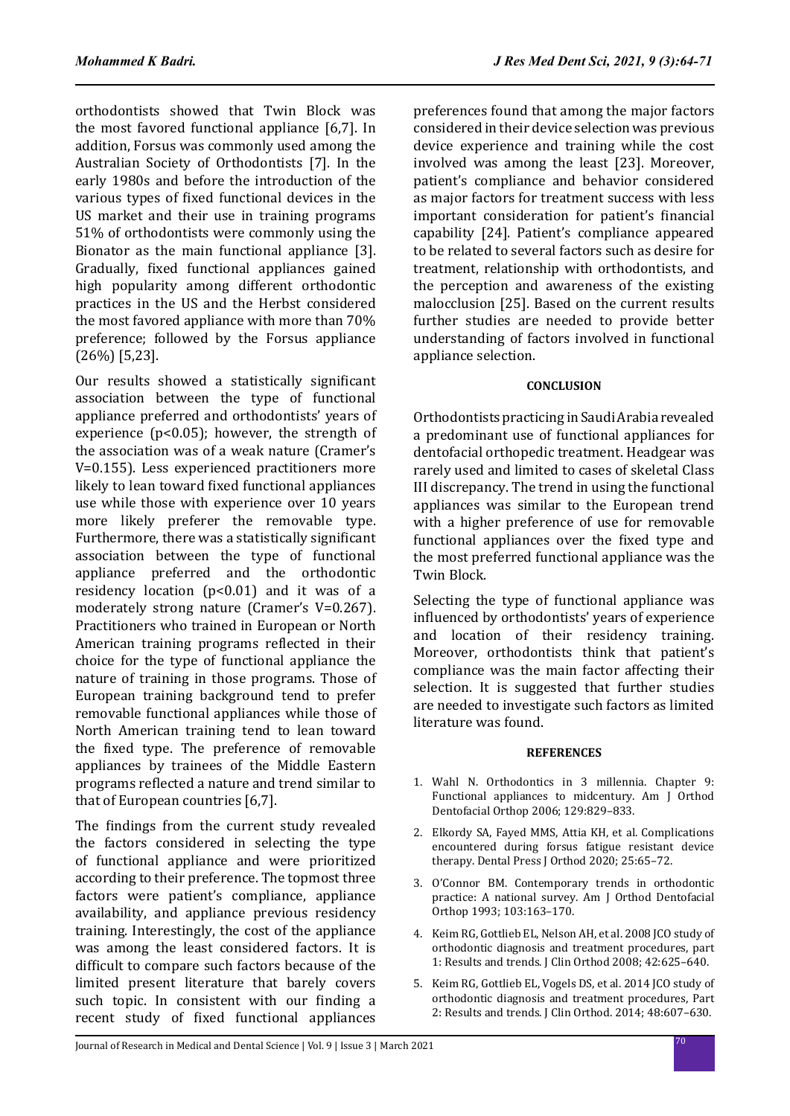orthodontists showed that Twin Block was the most favored functional appliance [6,7]. In addition, Forsus was commonly used among the Australian Society of Orthodontists [7]. In the early 1980s and before the introduction of the various types of fixed functional devices in the US market and their use in training programs 51% of orthodontists were commonly using the Bionator as the main functional appliance [3]. Gradually, fixed functional appliances gained high popularity among different orthodontic practices in the US and the Herbst considered the most favored appliance with more than 70% preference; followed by the Forsus appliance (26%) [5,23].

Our results showed a statistically significant association between the type of functional appliance preferred and orthodontists' years of experience  $(p<0.05)$ ; however, the strength of the association was of a weak nature (Cramer's V=0.155). Less experienced practitioners more likely to lean toward fixed functional appliances use while those with experience over 10 years more likely preferer the removable type. Furthermore, there was a statistically significant association between the type of functional appliance preferred and the orthodontic residency location (p<0.01) and it was of a moderately strong nature (Cramer's V=0.267). Practitioners who trained in European or North American training programs reflected in their choice for the type of functional appliance the nature of training in those programs. Those of European training background tend to prefer removable functional appliances while those of North American training tend to lean toward the fixed type. The preference of removable appliances by trainees of the Middle Eastern programs reflected a nature and trend similar to that of European countries [6,7].

The findings from the current study revealed the factors considered in selecting the type of functional appliance and were prioritized according to their preference. The topmost three factors were patient's compliance, appliance availability, and appliance previous residency training. Interestingly, the cost of the appliance was among the least considered factors. It is difficult to compare such factors because of the limited present literature that barely covers such topic. In consistent with our finding a recent study of fixed functional appliances preferences found that among the major factors considered in their device selection was previous device experience and training while the cost involved was among the least [23]. Moreover, patient's compliance and behavior considered as major factors for treatment success with less important consideration for patient's financial capability [24]. Patient's compliance appeared to be related to several factors such as desire for treatment, relationship with orthodontists, and the perception and awareness of the existing malocclusion [25]. Based on the current results further studies are needed to provide better understanding of factors involved in functional appliance selection.

### **CONCLUSION**

Orthodontists practicing in Saudi Arabia revealed a predominant use of functional appliances for dentofacial orthopedic treatment. Headgear was rarely used and limited to cases of skeletal Class III discrepancy. The trend in using the functional appliances was similar to the European trend with a higher preference of use for removable functional appliances over the fixed type and the most preferred functional appliance was the Twin Block.

Selecting the type of functional appliance was influenced by orthodontists' years of experience and location of their residency training. Moreover, orthodontists think that patient's compliance was the main factor affecting their selection. It is suggested that further studies are needed to investigate such factors as limited literature was found.

#### **REFERENCES**

- 1. Wahl N. Orthodontics in 3 millennia. Chapter 9: Functional appliances to midcentury. Am J Orthod Dentofacial Orthop 2006; 129:829–833.
- 2. Elkordy SA, Fayed MMS, Attia KH, et al. Complications encountered during forsus fatigue resistant device therapy. Dental Press J Orthod 2020; 25:65–72.
- 3. O'Connor BM. Contemporary trends in orthodontic practice: A national survey. Am J Orthod Dentofacial Orthop 1993; 103:163–170.
- 4. Keim RG, Gottlieb EL, Nelson AH, et al. 2008 JCO study of orthodontic diagnosis and treatment procedures, part 1: Results and trends. J Clin Orthod 2008; 42:625–640.
- 5. Keim RG, Gottlieb EL, Vogels DS, et al. 2014 JCO study of orthodontic diagnosis and treatment procedures, Part 2: Results and trends. J Clin Orthod. 2014; 48:607–630.